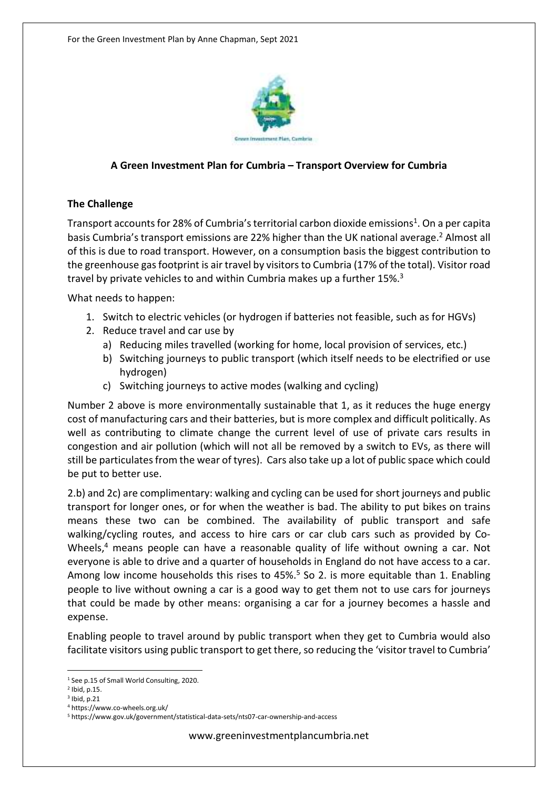

### **A Green Investment Plan for Cumbria – Transport Overview for Cumbria**

### **The Challenge**

Transport accounts for 28% of Cumbria's territorial carbon dioxide emissions<sup>1</sup>. On a per capita basis Cumbria's transport emissions are 22% higher than the UK national average.<sup>2</sup> Almost all of this is due to road transport. However, on a consumption basis the biggest contribution to the greenhouse gas footprint is air travel by visitors to Cumbria (17% of the total). Visitor road travel by private vehicles to and within Cumbria makes up a further 15%.<sup>3</sup>

What needs to happen:

- 1. Switch to electric vehicles (or hydrogen if batteries not feasible, such as for HGVs)
- 2. Reduce travel and car use by
	- a) Reducing miles travelled (working for home, local provision of services, etc.)
	- b) Switching journeys to public transport (which itself needs to be electrified or use hydrogen)
	- c) Switching journeys to active modes (walking and cycling)

Number 2 above is more environmentally sustainable that 1, as it reduces the huge energy cost of manufacturing cars and their batteries, but is more complex and difficult politically. As well as contributing to climate change the current level of use of private cars results in congestion and air pollution (which will not all be removed by a switch to EVs, as there will still be particulates from the wear of tyres). Cars also take up a lot of public space which could be put to better use.

2.b) and 2c) are complimentary: walking and cycling can be used for short journeys and public transport for longer ones, or for when the weather is bad. The ability to put bikes on trains means these two can be combined. The availability of public transport and safe walking/cycling routes, and access to hire cars or car club cars such as provided by Co-Wheels,<sup>4</sup> means people can have a reasonable quality of life without owning a car. Not everyone is able to drive and a quarter of households in England do not have access to a car. Among low income households this rises to 45%.<sup>5</sup> So 2. is more equitable than 1. Enabling people to live without owning a car is a good way to get them not to use cars for journeys that could be made by other means: organising a car for a journey becomes a hassle and expense.

Enabling people to travel around by public transport when they get to Cumbria would also facilitate visitors using public transport to get there, so reducing the 'visitor travel to Cumbria'

<sup>&</sup>lt;sup>1</sup> See p.15 of Small World Consulting, 2020.

<sup>2</sup> Ibid, p.15.

 $3$  Ibid, p.21

<sup>4</sup> https://www.co-wheels.org.uk/

<sup>5</sup> https://www.gov.uk/government/statistical-data-sets/nts07-car-ownership-and-access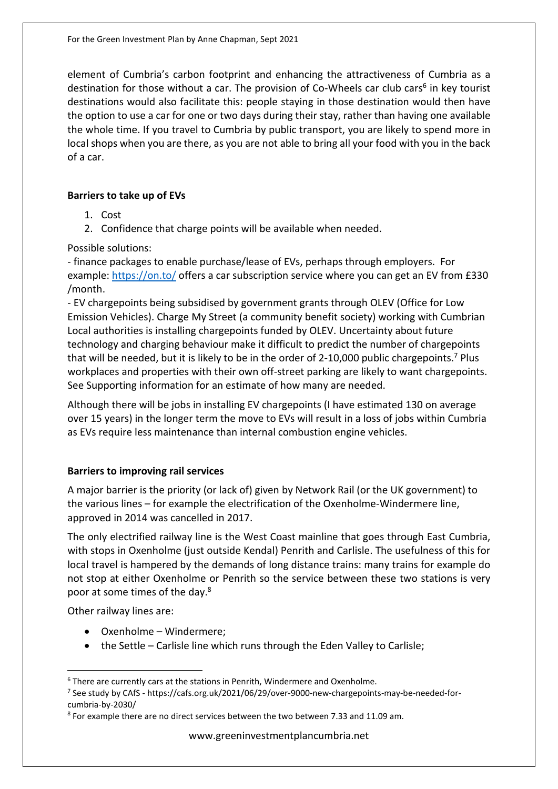element of Cumbria's carbon footprint and enhancing the attractiveness of Cumbria as a destination for those without a car. The provision of Co-Wheels car club cars<sup>6</sup> in key tourist destinations would also facilitate this: people staying in those destination would then have the option to use a car for one or two days during their stay, rather than having one available the whole time. If you travel to Cumbria by public transport, you are likely to spend more in local shops when you are there, as you are not able to bring all your food with you in the back of a car.

## **Barriers to take up of EVs**

- 1. Cost
- 2. Confidence that charge points will be available when needed.

Possible solutions:

- finance packages to enable purchase/lease of EVs, perhaps through employers. For example: https://on.to/ offers a car subscription service where you can get an EV from £330 /month.

- EV chargepoints being subsidised by government grants through OLEV (Office for Low Emission Vehicles). Charge My Street (a community benefit society) working with Cumbrian Local authorities is installing chargepoints funded by OLEV. Uncertainty about future technology and charging behaviour make it difficult to predict the number of chargepoints that will be needed, but it is likely to be in the order of 2-10,000 public chargepoints.<sup>7</sup> Plus workplaces and properties with their own off-street parking are likely to want chargepoints. See Supporting information for an estimate of how many are needed.

Although there will be jobs in installing EV chargepoints (I have estimated 130 on average over 15 years) in the longer term the move to EVs will result in a loss of jobs within Cumbria as EVs require less maintenance than internal combustion engine vehicles.

# **Barriers to improving rail services**

A major barrier is the priority (or lack of) given by Network Rail (or the UK government) to the various lines – for example the electrification of the Oxenholme-Windermere line, approved in 2014 was cancelled in 2017.

The only electrified railway line is the West Coast mainline that goes through East Cumbria, with stops in Oxenholme (just outside Kendal) Penrith and Carlisle. The usefulness of this for local travel is hampered by the demands of long distance trains: many trains for example do not stop at either Oxenholme or Penrith so the service between these two stations is very poor at some times of the day.<sup>8</sup>

Other railway lines are:

- Oxenholme Windermere;
- the Settle Carlisle line which runs through the Eden Valley to Carlisle;

<sup>&</sup>lt;sup>6</sup> There are currently cars at the stations in Penrith, Windermere and Oxenholme.

<sup>&</sup>lt;sup>7</sup> See study by CAfS - https://cafs.org.uk/2021/06/29/over-9000-new-chargepoints-may-be-needed-forcumbria-by-2030/

<sup>&</sup>lt;sup>8</sup> For example there are no direct services between the two between 7.33 and 11.09 am.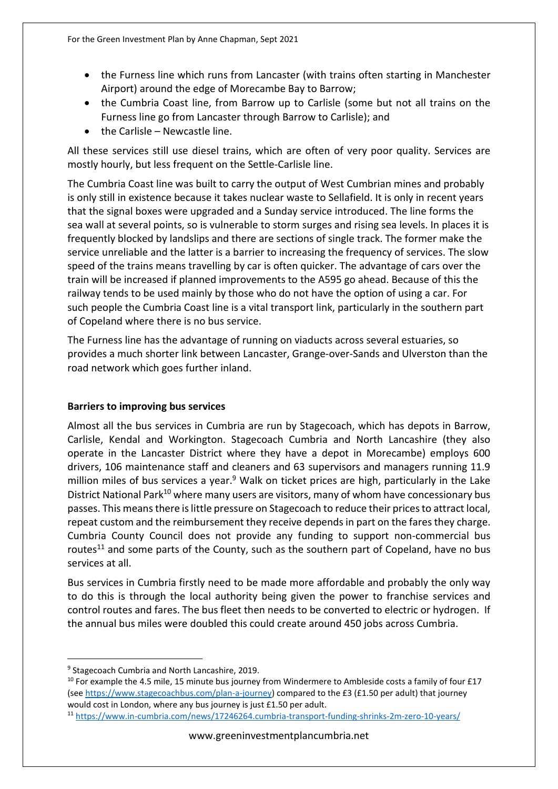- the Furness line which runs from Lancaster (with trains often starting in Manchester Airport) around the edge of Morecambe Bay to Barrow;
- the Cumbria Coast line, from Barrow up to Carlisle (some but not all trains on the Furness line go from Lancaster through Barrow to Carlisle); and
- $\bullet$  the Carlisle Newcastle line.

All these services still use diesel trains, which are often of very poor quality. Services are mostly hourly, but less frequent on the Settle-Carlisle line.

The Cumbria Coast line was built to carry the output of West Cumbrian mines and probably is only still in existence because it takes nuclear waste to Sellafield. It is only in recent years that the signal boxes were upgraded and a Sunday service introduced. The line forms the sea wall at several points, so is vulnerable to storm surges and rising sea levels. In places it is frequently blocked by landslips and there are sections of single track. The former make the service unreliable and the latter is a barrier to increasing the frequency of services. The slow speed of the trains means travelling by car is often quicker. The advantage of cars over the train will be increased if planned improvements to the A595 go ahead. Because of this the railway tends to be used mainly by those who do not have the option of using a car. For such people the Cumbria Coast line is a vital transport link, particularly in the southern part of Copeland where there is no bus service.

The Furness line has the advantage of running on viaducts across several estuaries, so provides a much shorter link between Lancaster, Grange-over-Sands and Ulverston than the road network which goes further inland.

# **Barriers to improving bus services**

Almost all the bus services in Cumbria are run by Stagecoach, which has depots in Barrow, Carlisle, Kendal and Workington. Stagecoach Cumbria and North Lancashire (they also operate in the Lancaster District where they have a depot in Morecambe) employs 600 drivers, 106 maintenance staff and cleaners and 63 supervisors and managers running 11.9 million miles of bus services a year.<sup>9</sup> Walk on ticket prices are high, particularly in the Lake District National Park<sup>10</sup> where many users are visitors, many of whom have concessionary bus passes. This means there is little pressure on Stagecoach to reduce their prices to attract local, repeat custom and the reimbursement they receive depends in part on the fares they charge. Cumbria County Council does not provide any funding to support non-commercial bus routes<sup>11</sup> and some parts of the County, such as the southern part of Copeland, have no bus services at all.

Bus services in Cumbria firstly need to be made more affordable and probably the only way to do this is through the local authority being given the power to franchise services and control routes and fares. The bus fleet then needs to be converted to electric or hydrogen. If the annual bus miles were doubled this could create around 450 jobs across Cumbria.

<sup>&</sup>lt;sup>9</sup> Stagecoach Cumbria and North Lancashire, 2019.

 $10$  For example the 4.5 mile, 15 minute bus journey from Windermere to Ambleside costs a family of four £17 (see https://www.stagecoachbus.com/plan-a-journey) compared to the £3 (£1.50 per adult) that journey would cost in London, where any bus journey is just £1.50 per adult.

<sup>11</sup> https://www.in-cumbria.com/news/17246264.cumbria-transport-funding-shrinks-2m-zero-10-years/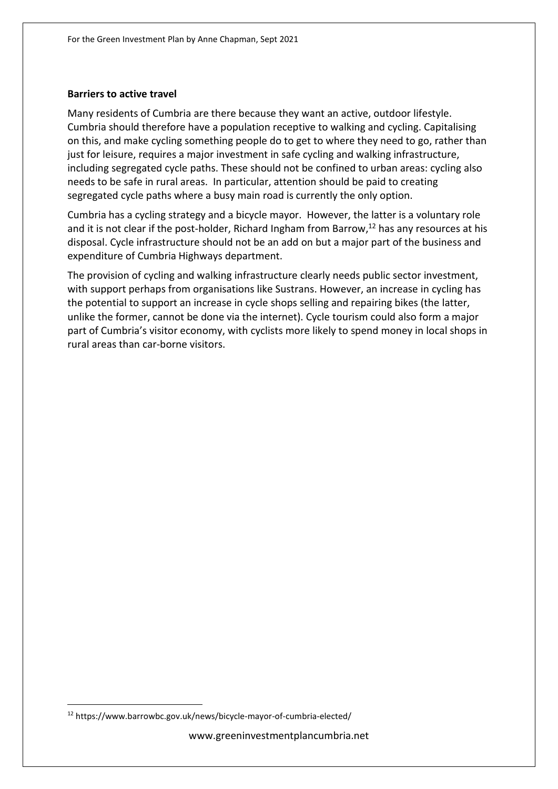#### **Barriers to active travel**

Many residents of Cumbria are there because they want an active, outdoor lifestyle. Cumbria should therefore have a population receptive to walking and cycling. Capitalising on this, and make cycling something people do to get to where they need to go, rather than just for leisure, requires a major investment in safe cycling and walking infrastructure, including segregated cycle paths. These should not be confined to urban areas: cycling also needs to be safe in rural areas. In particular, attention should be paid to creating segregated cycle paths where a busy main road is currently the only option.

Cumbria has a cycling strategy and a bicycle mayor. However, the latter is a voluntary role and it is not clear if the post-holder, Richard Ingham from Barrow,<sup>12</sup> has any resources at his disposal. Cycle infrastructure should not be an add on but a major part of the business and expenditure of Cumbria Highways department.

The provision of cycling and walking infrastructure clearly needs public sector investment, with support perhaps from organisations like Sustrans. However, an increase in cycling has the potential to support an increase in cycle shops selling and repairing bikes (the latter, unlike the former, cannot be done via the internet). Cycle tourism could also form a major part of Cumbria's visitor economy, with cyclists more likely to spend money in local shops in rural areas than car-borne visitors.

<sup>12</sup> https://www.barrowbc.gov.uk/news/bicycle-mayor-of-cumbria-elected/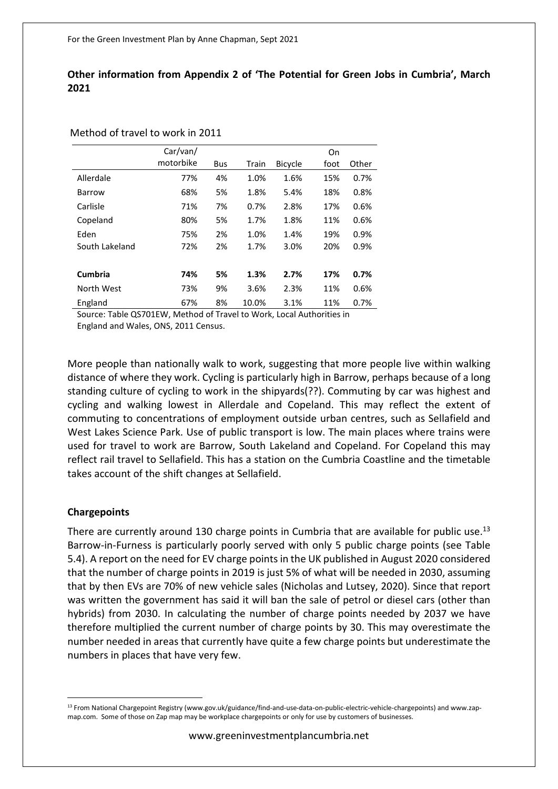## **Other information from Appendix 2 of 'The Potential for Green Jobs in Cumbria', March 2021**

#### Method of travel to work in 2011

|                | Car/van/  |            |       |                | On   |       |
|----------------|-----------|------------|-------|----------------|------|-------|
|                | motorbike | <b>Bus</b> | Train | <b>Bicycle</b> | foot | Other |
| Allerdale      | 77%       | 4%         | 1.0%  | 1.6%           | 15%  | 0.7%  |
| Barrow         | 68%       | 5%         | 1.8%  | 5.4%           | 18%  | 0.8%  |
| Carlisle       | 71%       | 7%         | 0.7%  | 2.8%           | 17%  | 0.6%  |
| Copeland       | 80%       | 5%         | 1.7%  | 1.8%           | 11%  | 0.6%  |
| Eden           | 75%       | 2%         | 1.0%  | 1.4%           | 19%  | 0.9%  |
| South Lakeland | 72%       | 2%         | 1.7%  | 3.0%           | 20%  | 0.9%  |
|                |           |            |       |                |      |       |
| <b>Cumbria</b> | 74%       | 5%         | 1.3%  | 2.7%           | 17%  | 0.7%  |
| North West     | 73%       | 9%         | 3.6%  | 2.3%           | 11%  | 0.6%  |
| England        | 67%       | 8%         | 10.0% | 3.1%           | 11%  | 0.7%  |

Source: Table QS701EW, Method of Travel to Work, Local Authorities in

England and Wales, ONS, 2011 Census.

More people than nationally walk to work, suggesting that more people live within walking distance of where they work. Cycling is particularly high in Barrow, perhaps because of a long standing culture of cycling to work in the shipyards(??). Commuting by car was highest and cycling and walking lowest in Allerdale and Copeland. This may reflect the extent of commuting to concentrations of employment outside urban centres, such as Sellafield and West Lakes Science Park. Use of public transport is low. The main places where trains were used for travel to work are Barrow, South Lakeland and Copeland. For Copeland this may reflect rail travel to Sellafield. This has a station on the Cumbria Coastline and the timetable takes account of the shift changes at Sellafield.

#### **Chargepoints**

There are currently around 130 charge points in Cumbria that are available for public use.<sup>13</sup> Barrow-in-Furness is particularly poorly served with only 5 public charge points (see Table 5.4). A report on the need for EV charge points in the UK published in August 2020 considered that the number of charge points in 2019 is just 5% of what will be needed in 2030, assuming that by then EVs are 70% of new vehicle sales (Nicholas and Lutsey, 2020). Since that report was written the government has said it will ban the sale of petrol or diesel cars (other than hybrids) from 2030. In calculating the number of charge points needed by 2037 we have therefore multiplied the current number of charge points by 30. This may overestimate the number needed in areas that currently have quite a few charge points but underestimate the numbers in places that have very few.

<sup>&</sup>lt;sup>13</sup> From National Chargepoint Registry (www.gov.uk/guidance/find-and-use-data-on-public-electric-vehicle-chargepoints) and www.zapmap.com. Some of those on Zap map may be workplace chargepoints or only for use by customers of businesses.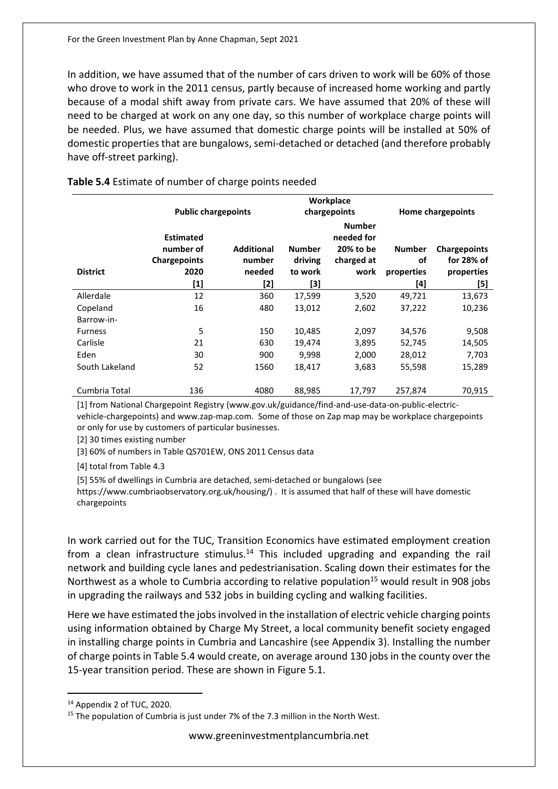In addition, we have assumed that of the number of cars driven to work will be 60% of those who drove to work in the 2011 census, partly because of increased home working and partly because of a modal shift away from private cars. We have assumed that 20% of these will need to be charged at work on any one day, so this number of workplace charge points will be needed. Plus, we have assumed that domestic charge points will be installed at 50% of domestic properties that are bungalows, semi-detached or detached (and therefore probably have off-street parking).

|                 | Workplace                     |                   |               |                                          |               |                          |  |
|-----------------|-------------------------------|-------------------|---------------|------------------------------------------|---------------|--------------------------|--|
|                 | <b>Public chargepoints</b>    |                   |               | chargepoints                             |               | <b>Home chargepoints</b> |  |
|                 | <b>Estimated</b><br>number of | <b>Additional</b> | <b>Number</b> | <b>Number</b><br>needed for<br>20% to be | <b>Number</b> | <b>Chargepoints</b>      |  |
|                 | <b>Chargepoints</b>           | number            | driving       | charged at                               | οf            | for 28% of               |  |
| <b>District</b> | 2020                          | needed            | to work       | work                                     | properties    | properties               |  |
|                 | [1]                           | [2]               | [3]           |                                          | [4]           | [5]                      |  |
| Allerdale       | 12                            | 360               | 17,599        | 3,520                                    | 49,721        | 13,673                   |  |
| Copeland        | 16                            | 480               | 13,012        | 2,602                                    | 37,222        | 10,236                   |  |
| Barrow-in-      |                               |                   |               |                                          |               |                          |  |
| <b>Furness</b>  | 5                             | 150               | 10,485        | 2,097                                    | 34,576        | 9,508                    |  |
| Carlisle        | 21                            | 630               | 19,474        | 3,895                                    | 52,745        | 14,505                   |  |
| Eden            | 30                            | 900               | 9,998         | 2,000                                    | 28,012        | 7,703                    |  |
| South Lakeland  | 52                            | 1560              | 18,417        | 3,683                                    | 55,598        | 15,289                   |  |
| Cumbria Total   | 136                           | 4080              | 88,985        | 17,797                                   | 257,874       | 70,915                   |  |

## **Table 5.4** Estimate of number of charge points needed

[1] from National Chargepoint Registry (www.gov.uk/guidance/find-and-use-data-on-public-electricvehicle-chargepoints) and www.zap-map.com. Some of those on Zap map may be workplace chargepoints or only for use by customers of particular businesses.

[2] 30 times existing number

[3] 60% of numbers in Table QS701EW, ONS 2011 Census data

[4] total from Table 4.3

[5] 55% of dwellings in Cumbria are detached, semi-detached or bungalows (see

https://www.cumbriaobservatory.org.uk/housing/) . It is assumed that half of these will have domestic chargepoints

In work carried out for the TUC, Transition Economics have estimated employment creation from a clean infrastructure stimulus.<sup>14</sup> This included upgrading and expanding the rail network and building cycle lanes and pedestrianisation. Scaling down their estimates for the Northwest as a whole to Cumbria according to relative population<sup>15</sup> would result in 908 jobs in upgrading the railways and 532 jobs in building cycling and walking facilities.

Here we have estimated the jobs involved in the installation of electric vehicle charging points using information obtained by Charge My Street, a local community benefit society engaged in installing charge points in Cumbria and Lancashire (see Appendix 3). Installing the number of charge points in Table 5.4 would create, on average around 130 jobs in the county over the 15-year transition period. These are shown in Figure 5.1.

<sup>14</sup> Appendix 2 of TUC, 2020.

<sup>&</sup>lt;sup>15</sup> The population of Cumbria is just under 7% of the 7.3 million in the North West.